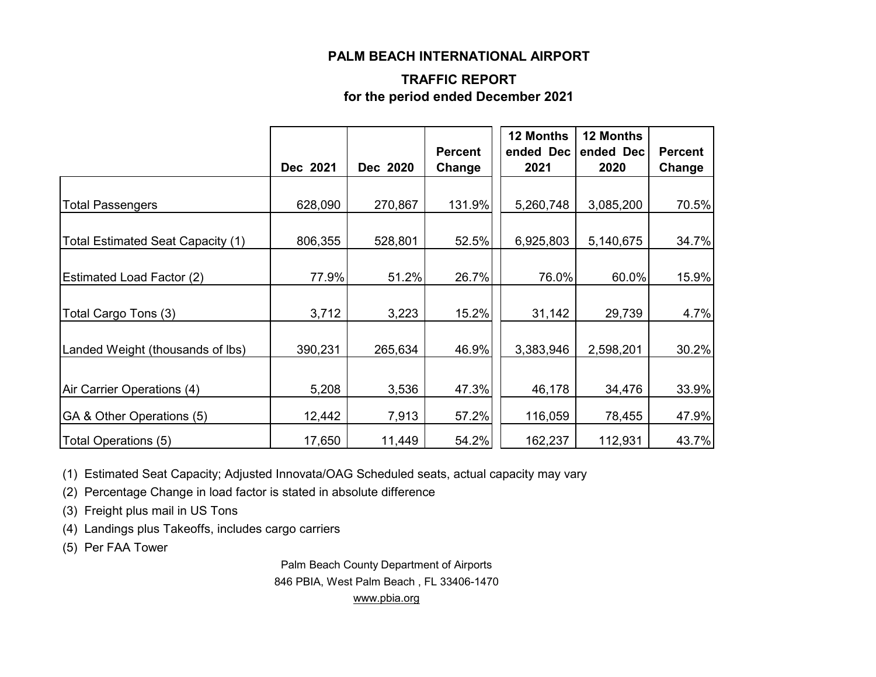#### **PALM BEACH INTERNATIONAL AIRPORT**

#### **TRAFFIC REPORT for the period ended December 2021**

|                                      | Dec 2021 | Dec 2020 | <b>Percent</b><br>Change | 12 Months<br>ended Dec<br>2021 | 12 Months<br>ended Dec<br>2020 | <b>Percent</b><br>Change |
|--------------------------------------|----------|----------|--------------------------|--------------------------------|--------------------------------|--------------------------|
|                                      |          |          |                          |                                |                                |                          |
| <b>Total Passengers</b>              | 628,090  | 270,867  | 131.9%                   | 5,260,748                      | 3,085,200                      | 70.5%                    |
| Total Estimated Seat Capacity (1)    | 806,355  | 528,801  | 52.5%                    | 6,925,803                      | 5,140,675                      | 34.7%                    |
| <b>Estimated Load Factor (2)</b>     | 77.9%    | 51.2%    | 26.7%                    | 76.0%                          | 60.0%                          | 15.9%                    |
| Total Cargo Tons (3)                 | 3,712    | 3,223    | 15.2%                    | 31,142                         | 29,739                         | 4.7%                     |
| Landed Weight (thousands of lbs)     | 390,231  | 265,634  | 46.9%                    | 3,383,946                      | 2,598,201                      | 30.2%                    |
| Air Carrier Operations (4)           | 5,208    | 3,536    | 47.3%                    | 46,178                         | 34,476                         | 33.9%                    |
| <b>GA &amp; Other Operations (5)</b> | 12,442   | 7,913    | 57.2%                    | 116,059                        | 78,455                         | 47.9%                    |
| Total Operations (5)                 | 17,650   | 11,449   | 54.2%                    | 162,237                        | 112,931                        | 43.7%                    |

(1) Estimated Seat Capacity; Adjusted Innovata/OAG Scheduled seats, actual capacity may vary

(2) Percentage Change in load factor is stated in absolute difference

(3) Freight plus mail in US Tons

(4) Landings plus Takeoffs, includes cargo carriers

(5) Per FAA Tower

Palm Beach County Department of Airports 846 PBIA, West Palm Beach , FL 33406-1470 [www.pbia.org](http://www.pbia.org/)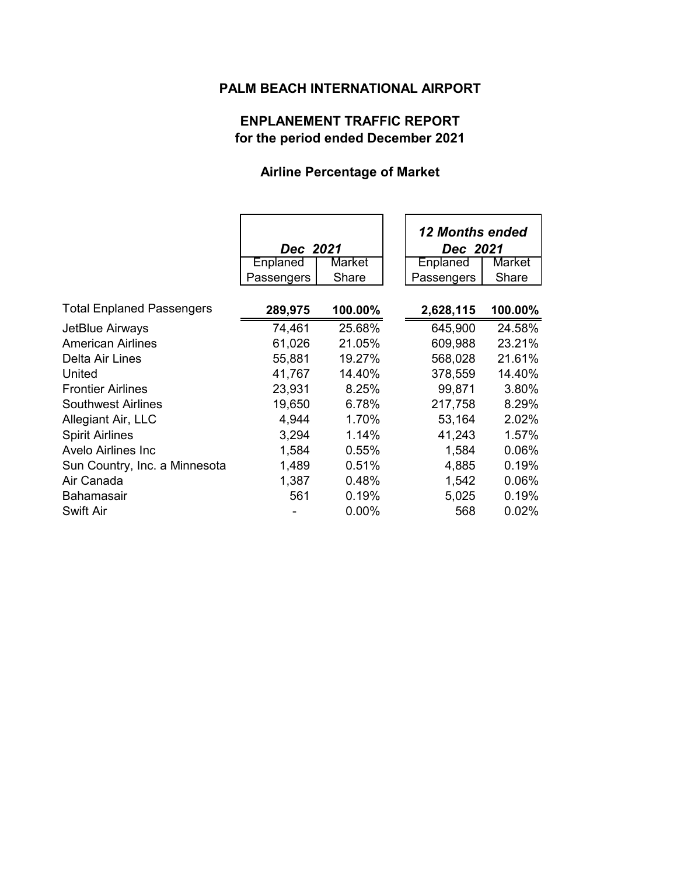### **PALM BEACH INTERNATIONAL AIRPORT**

# **ENPLANEMENT TRAFFIC REPORT for the period ended December 2021**

### **Airline Percentage of Market**

|                                  | Dec 2021   |         | <b>12 Months ended</b><br>Dec 2021 |         |
|----------------------------------|------------|---------|------------------------------------|---------|
|                                  | Enplaned   | Market  | Enplaned                           | Market  |
|                                  | Passengers | Share   | Passengers                         | Share   |
| <b>Total Enplaned Passengers</b> | 289,975    | 100.00% | 2,628,115                          | 100.00% |
| JetBlue Airways                  | 74,461     | 25.68%  | 645,900                            | 24.58%  |
| <b>American Airlines</b>         | 61,026     | 21.05%  | 609,988                            | 23.21%  |
| Delta Air Lines                  | 55,881     | 19.27%  | 568,028                            | 21.61%  |
| United                           | 41,767     | 14.40%  | 378,559                            | 14.40%  |
| <b>Frontier Airlines</b>         | 23,931     | 8.25%   | 99,871                             | 3.80%   |
| <b>Southwest Airlines</b>        | 19,650     | 6.78%   | 217,758                            | 8.29%   |
| Allegiant Air, LLC               | 4,944      | 1.70%   | 53,164                             | 2.02%   |
| <b>Spirit Airlines</b>           | 3,294      | 1.14%   | 41,243                             | 1.57%   |
| Avelo Airlines Inc               | 1,584      | 0.55%   | 1,584                              | 0.06%   |
| Sun Country, Inc. a Minnesota    | 1,489      | 0.51%   | 4,885                              | 0.19%   |
| Air Canada                       | 1,387      | 0.48%   | 1,542                              | 0.06%   |
| <b>Bahamasair</b>                | 561        | 0.19%   | 5,025                              | 0.19%   |
| <b>Swift Air</b>                 |            | 0.00%   | 568                                | 0.02%   |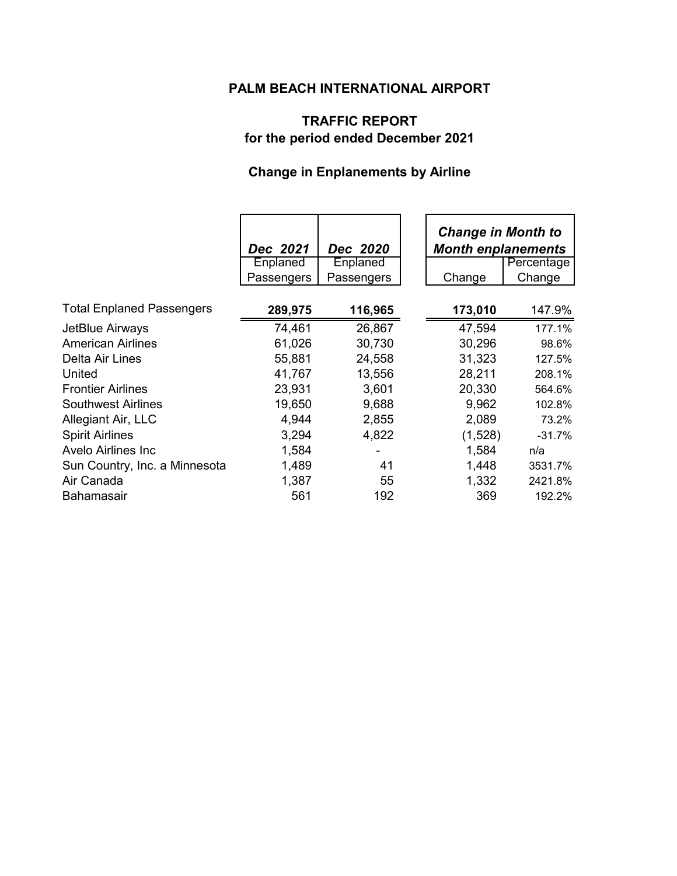# **PALM BEACH INTERNATIONAL AIRPORT**

# **TRAFFIC REPORT for the period ended December 2021**

# **Change in Enplanements by Airline**

|                                  | Dec 2021   | Dec 2020   | <b>Change in Month to</b><br><b>Month enplanements</b> |            |
|----------------------------------|------------|------------|--------------------------------------------------------|------------|
|                                  | Enplaned   | Enplaned   |                                                        | Percentage |
|                                  | Passengers | Passengers | Change                                                 | Change     |
| <b>Total Enplaned Passengers</b> | 289,975    | 116,965    | 173,010                                                | 147.9%     |
| JetBlue Airways                  | 74,461     | 26,867     | 47,594                                                 | 177.1%     |
| <b>American Airlines</b>         | 61,026     | 30,730     | 30,296                                                 | 98.6%      |
| Delta Air Lines                  | 55,881     | 24,558     | 31,323                                                 | 127.5%     |
| United                           | 41,767     | 13,556     | 28,211                                                 | 208.1%     |
| <b>Frontier Airlines</b>         | 23,931     | 3,601      | 20,330                                                 | 564.6%     |
| <b>Southwest Airlines</b>        | 19,650     | 9,688      | 9,962                                                  | 102.8%     |
| Allegiant Air, LLC               | 4,944      | 2,855      | 2,089                                                  | 73.2%      |
| <b>Spirit Airlines</b>           | 3,294      | 4,822      | (1,528)                                                | $-31.7%$   |
| <b>Avelo Airlines Inc.</b>       | 1,584      |            | 1,584                                                  | n/a        |
| Sun Country, Inc. a Minnesota    | 1,489      | 41         | 1,448                                                  | 3531.7%    |
| Air Canada                       | 1,387      | 55         | 1,332                                                  | 2421.8%    |
| Bahamasair                       | 561        | 192        | 369                                                    | 192.2%     |